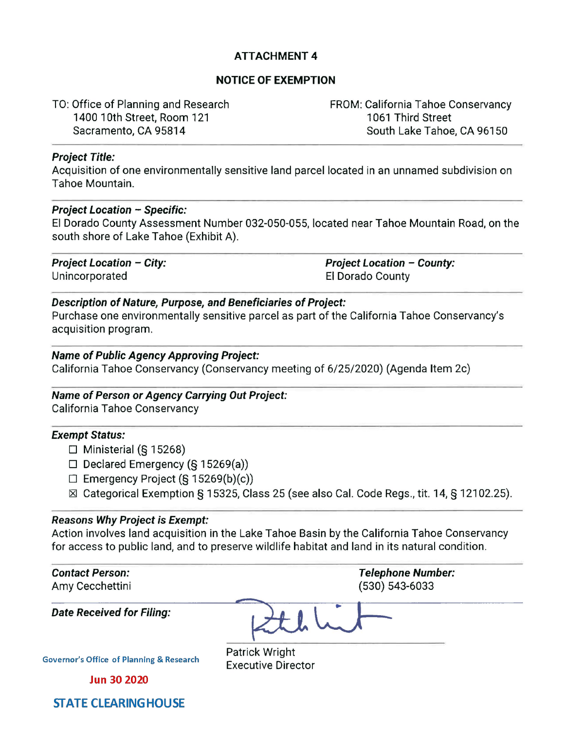# **ATTACHMENT 4**

## **NOTICE OF EXEMPTION**

TO: Office of Planning and Research 1400 10th Street, Room 121 Sacramento, CA 95814

FROM: California Tahoe Conservancy 1061 Third Street South Lake Tahoe, CA 96150

#### **Project Title:**

Acquisition of one environmentally sensitive land parcel located in an unnamed subdivision on Tahoe Mountain.

#### **Project Location** - **Specific:**

El Dorado County Assessment Number 032-050-055, located near Tahoe Mountain Road, on the south shore of Lake Tahoe (Exhibit A).

Unincorporated El Dorado County

**Project Location** - **City: Project Location** - **County:** 

# **Description of Nature, Purpose, and Beneficiaries of Project:**

Purchase one environmentally sensitive parcel as part of the California Tahoe Conservancy's acquisition program.

### **Name of Public Agency Approving Project:**

California Tahoe Conservancy (Conservancy meeting of 6/25/2020) (Agenda Item 2c)

# **Name of Person or Agency Carrying Out Project:**

California Tahoe Conservancy

#### **Exempt Status:**

- $\Box$  Ministerial (§ 15268)
- $\Box$  Declared Emergency (§ 15269(a))
- $\Box$  Emergency Project (§ 15269(b)(c))
- [gJ Categorical Exemption § 15325, Class 25 (see also Cal. Code Regs., tit. 14, § 12102.25).

#### **Reasons Why Project is Exempt:**

Action involves land acquisition in the Lake Tahoe Basin by the California Tahoe Conservancy for access to public land, and to preserve wildlife habitat and land in its natural condition.

| <b>Contact Person:</b><br>Amy Cecchettini           | <b>Telephone Number:</b><br>(530) 543-6033  |
|-----------------------------------------------------|---------------------------------------------|
| <b>Date Received for Filing:</b>                    |                                             |
| <b>Governor's Office of Planning &amp; Research</b> | Patrick Wright<br><b>Executive Director</b> |
| <b>Jun 30 2020</b>                                  |                                             |
| <b>STATE CLEARING HOUSE</b>                         |                                             |